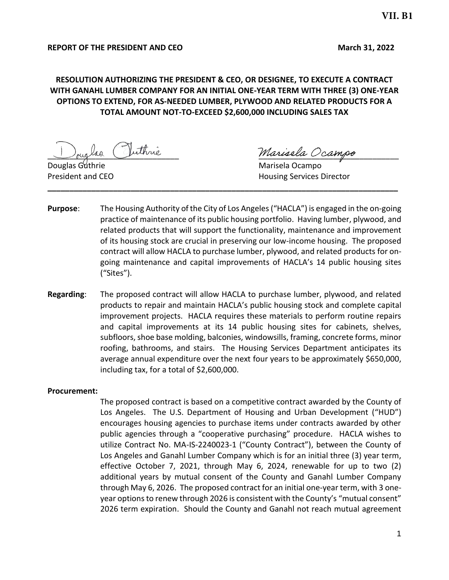### **REPORT OF THE PRESIDENT AND CEO March 31, 2022**

# **RESOLUTION AUTHORIZING THE PRESIDENT & CEO, OR DESIGNEE, TO EXECUTE A CONTRACT WITH GANAHL LUMBER COMPANY FOR AN INITIAL ONE-YEAR TERM WITH THREE (3) ONE-YEAR OPTIONS TO EXTEND, FOR AS-NEEDED LUMBER, PLYWOOD AND RELATED PRODUCTS FOR A TOTAL AMOUNT NOT-TO-EXCEED \$2,600,000 INCLUDING SALES TAX**

lao Vuthrie Marisela Ocampo

Douglas Guthrie **Marisela Ocampo** Marisela Ocampo **President and CEO Housing Services Director** 

**Purpose**: The Housing Authority of the City of Los Angeles ("HACLA") is engaged in the on-going practice of maintenance of its public housing portfolio. Having lumber, plywood, and related products that will support the functionality, maintenance and improvement of its housing stock are crucial in preserving our low-income housing. The proposed contract will allow HACLA to purchase lumber, plywood, and related products for ongoing maintenance and capital improvements of HACLA's 14 public housing sites ("Sites").

**\_\_\_\_\_\_\_\_\_\_\_\_\_\_\_\_\_\_\_\_\_\_\_\_\_\_\_\_\_\_\_\_\_\_\_\_\_\_\_\_\_\_\_\_\_\_\_\_\_\_\_\_\_\_\_\_\_\_\_\_\_\_\_\_\_\_\_\_\_\_\_\_\_\_\_\_\_\_\_\_**

**Regarding**: The proposed contract will allow HACLA to purchase lumber, plywood, and related products to repair and maintain HACLA's public housing stock and complete capital improvement projects. HACLA requires these materials to perform routine repairs and capital improvements at its 14 public housing sites for cabinets, shelves, subfloors, shoe base molding, balconies, windowsills, framing, concrete forms, minor roofing, bathrooms, and stairs. The Housing Services Department anticipates its average annual expenditure over the next four years to be approximately \$650,000, including tax, for a total of \$2,600,000.

#### **Procurement:**

The proposed contract is based on a competitive contract awarded by the County of Los Angeles. The U.S. Department of Housing and Urban Development ("HUD") encourages housing agencies to purchase items under contracts awarded by other public agencies through a "cooperative purchasing" procedure. HACLA wishes to utilize Contract No. MA-IS-2240023-1 ("County Contract"), between the County of Los Angeles and Ganahl Lumber Company which is for an initial three (3) year term, effective October 7, 2021, through May 6, 2024, renewable for up to two (2) additional years by mutual consent of the County and Ganahl Lumber Company through May 6, 2026. The proposed contract for an initial one-year term, with 3 oneyear options to renew through 2026 is consistent with the County's "mutual consent" 2026 term expiration. Should the County and Ganahl not reach mutual agreement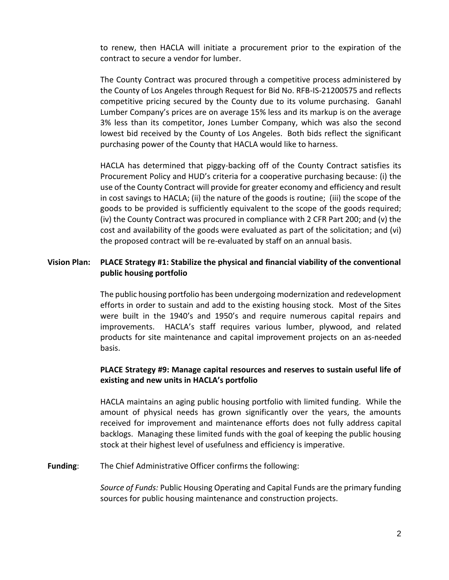to renew, then HACLA will initiate a procurement prior to the expiration of the contract to secure a vendor for lumber.

The County Contract was procured through a competitive process administered by the County of Los Angeles through Request for Bid No. RFB-IS-21200575 and reflects competitive pricing secured by the County due to its volume purchasing. Ganahl Lumber Company's prices are on average 15% less and its markup is on the average 3% less than its competitor, Jones Lumber Company, which was also the second lowest bid received by the County of Los Angeles. Both bids reflect the significant purchasing power of the County that HACLA would like to harness.

HACLA has determined that piggy-backing off of the County Contract satisfies its Procurement Policy and HUD's criteria for a cooperative purchasing because: (i) the use of the County Contract will provide for greater economy and efficiency and result in cost savings to HACLA; (ii) the nature of the goods is routine; (iii) the scope of the goods to be provided is sufficiently equivalent to the scope of the goods required; (iv) the County Contract was procured in compliance with 2 CFR Part 200; and (v) the cost and availability of the goods were evaluated as part of the solicitation; and (vi) the proposed contract will be re-evaluated by staff on an annual basis.

## **Vision Plan: PLACE Strategy #1: Stabilize the physical and financial viability of the conventional public housing portfolio**

The public housing portfolio has been undergoing modernization and redevelopment efforts in order to sustain and add to the existing housing stock. Most of the Sites were built in the 1940's and 1950's and require numerous capital repairs and improvements. HACLA's staff requires various lumber, plywood, and related products for site maintenance and capital improvement projects on an as-needed basis.

## **PLACE Strategy #9: Manage capital resources and reserves to sustain useful life of existing and new units in HACLA's portfolio**

HACLA maintains an aging public housing portfolio with limited funding. While the amount of physical needs has grown significantly over the years, the amounts received for improvement and maintenance efforts does not fully address capital backlogs. Managing these limited funds with the goal of keeping the public housing stock at their highest level of usefulness and efficiency is imperative.

**Funding**: The Chief Administrative Officer confirms the following:

*Source of Funds:* Public Housing Operating and Capital Funds are the primary funding sources for public housing maintenance and construction projects.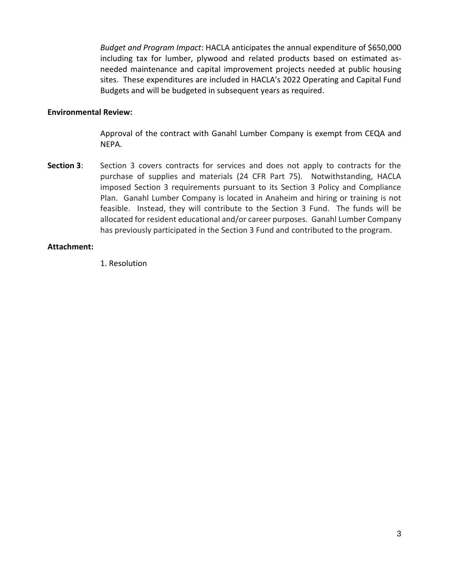*Budget and Program Impact*: HACLA anticipates the annual expenditure of \$650,000 including tax for lumber, plywood and related products based on estimated asneeded maintenance and capital improvement projects needed at public housing sites. These expenditures are included in HACLA's 2022 Operating and Capital Fund Budgets and will be budgeted in subsequent years as required.

#### **Environmental Review:**

Approval of the contract with Ganahl Lumber Company is exempt from CEQA and NEPA.

**Section 3:** Section 3 covers contracts for services and does not apply to contracts for the purchase of supplies and materials (24 CFR Part 75). Notwithstanding, HACLA imposed Section 3 requirements pursuant to its Section 3 Policy and Compliance Plan. Ganahl Lumber Company is located in Anaheim and hiring or training is not feasible. Instead, they will contribute to the Section 3 Fund. The funds will be allocated for resident educational and/or career purposes. Ganahl Lumber Company has previously participated in the Section 3 Fund and contributed to the program.

### **Attachment:**

1. Resolution